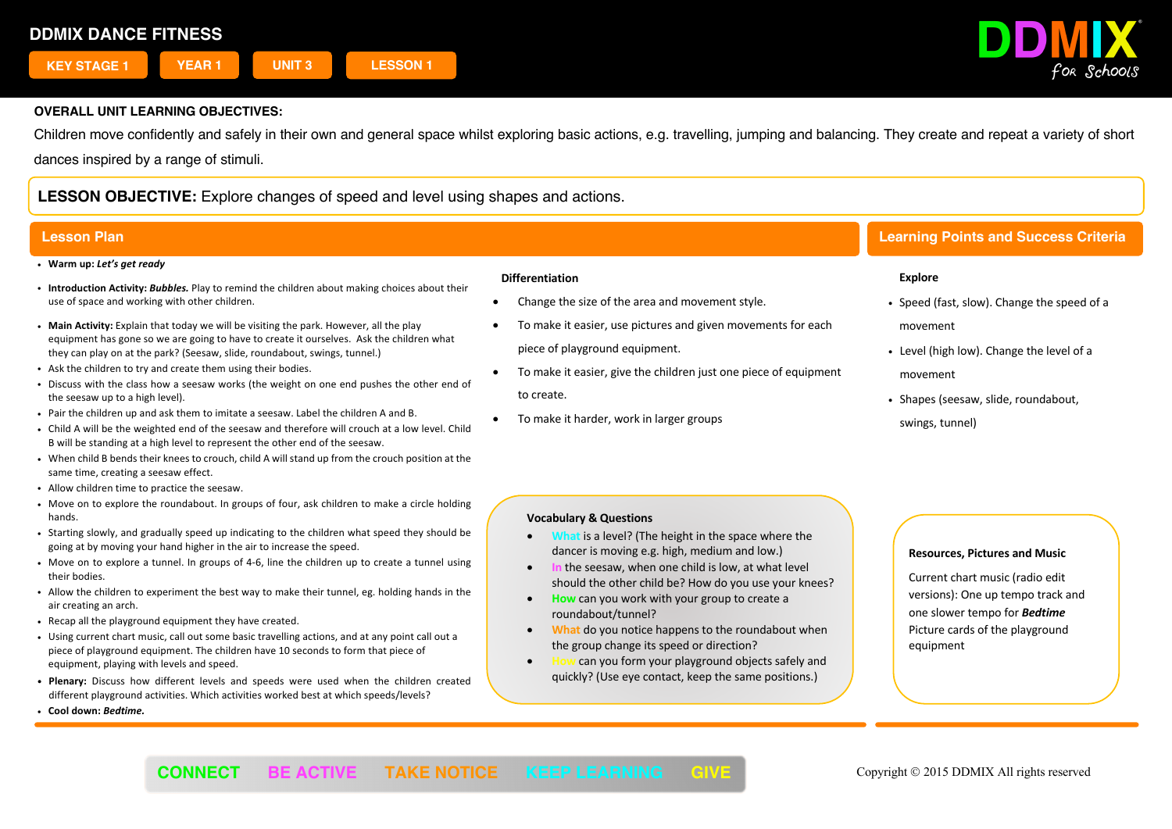

Children move confidently and safely in their own and general space whilst exploring basic actions, e.g. travelling, jumping and balancing. They create and repeat a variety of short dances inspired by a range of stimuli.

**LESSON OBJECTIVE:** Explore changes of speed and level using shapes and actions.

- ! **Warm up:** *Let's get ready*
- ! **Introduction Activity:** *Bubbles.* Play to remind the children about making choices about their use of space and working with other children.
- ! **Main Activity:** Explain that today we will be visiting the park. However, all the play equipment has gone so we are going to have to create it ourselves. Ask the children what they can play on at the park? (Seesaw, slide, roundabout, swings, tunnel.)
- . Ask the children to try and create them using their bodies.
- ! Discuss with the class how a seesaw works (the weight on one end pushes the other end of the seesaw up to a high level).
- ! Pair the children up and ask them to imitate a seesaw. Label the children A and B.
- ! Child A will be the weighted end of the seesaw and therefore will crouch at a low level. Child B will be standing at a high level to represent the other end of the seesaw.
- ! When child B bends their knees to crouch, child A will stand up from the crouch position at the same time, creating a seesaw effect.
- . Allow children time to practice the seesaw.
- ! Move on to explore the roundabout. In groups of four, ask children to make a circle holding hands.
- ! Starting slowly, and gradually speed up indicating to the children what speed they should be going at by moving your hand higher in the air to increase the speed.
- ! Move on to explore a tunnel. In groups of 4-6, line the children up to create a tunnel using their bodies.
- ! Allow the children to experiment the best way to make their tunnel, eg. holding hands in the air creating an arch.
- . Recap all the playground equipment they have created.
- ! Using current chart music, call out some basic travelling actions, and at any point call out a piece of playground equipment. The children have 10 seconds to form that piece of equipment, playing with levels and speed.
- ! **Plenary:** Discuss how different levels and speeds were used when the children created different playground activities. Which activities worked best at which speeds/levels?
- ! **Cool down:** *Bedtime.*

### **Differentiation**

- Change the size of the area and movement style.
- To make it easier, use pictures and given movements for each piece of playground equipment.
- To make it easier, give the children just one piece of equipment to create.
- To make it harder, work in larger groups

## **Lesson Plan Learning Points and Success Criteria**

## **Explore**

- Speed (fast, slow). Change the speed of a movement
- Level (high low). Change the level of a movement
- Shapes (seesaw, slide, roundabout, swings, tunnel)

## **Vocabulary & Questions**

- **What** is a level? (The height in the space where the dancer is moving e.g. high, medium and low.)
- **In** the seesaw, when one child is low, at what level should the other child be? How do you use your knees?
- **How** can you work with your group to create a roundabout/tunnel?
- **What** do you notice happens to the roundabout when the group change its speed or direction?
- can you form your playground objects safely and quickly? (Use eye contact, keep the same positions.)

### **Resources, Pictures and Music**

Current chart music (radio edit versions): One up tempo track and one slower tempo for *Bedtime* Picture cards of the playground equipment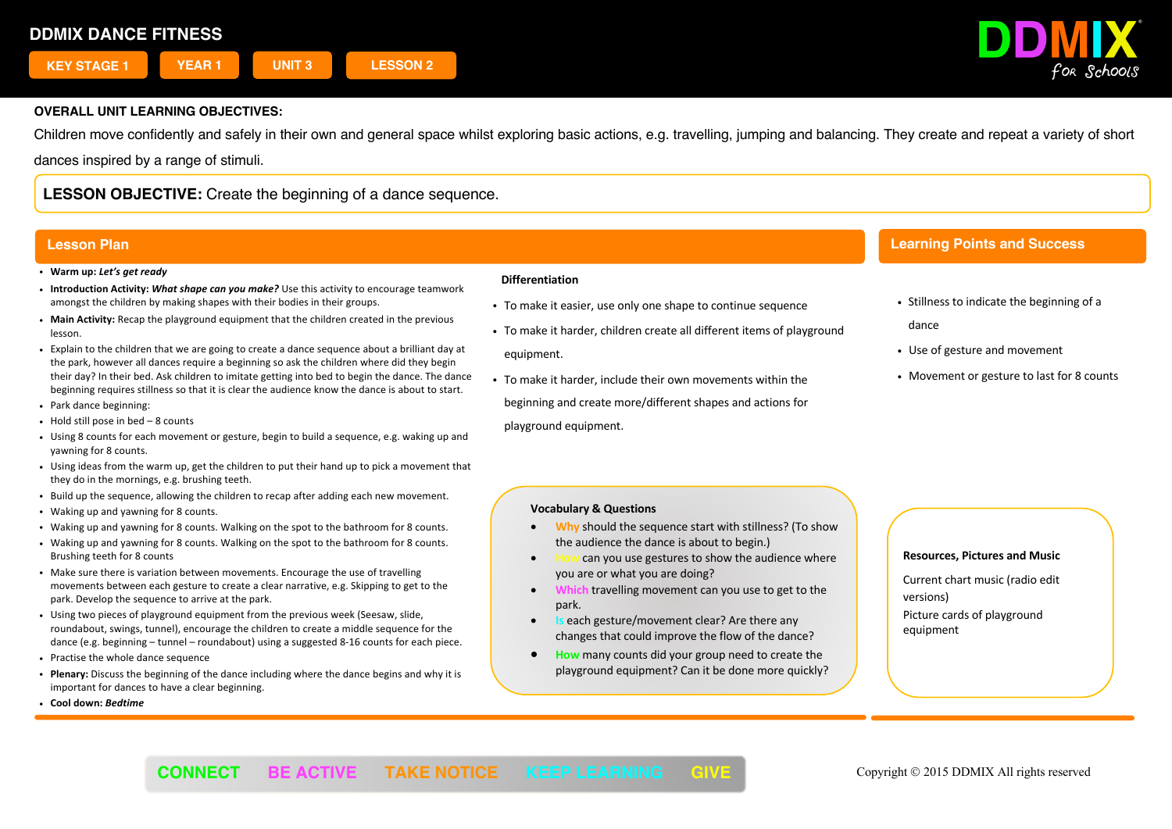

Children move confidently and safely in their own and general space whilst exploring basic actions, e.g. travelling, jumping and balancing. They create and repeat a variety of short dances inspired by a range of stimuli.

**LESSON OBJECTIVE:** Create the beginning of a dance sequence.

## **Lesson Plan**

- ! **Warm up:** *Let's get ready*
- ! **Introduction Activity:** *What shape can you make?* Use this activity to encourage teamwork amongst the children by making shapes with their bodies in their groups.
- ! **Main Activity:** Recap the playground equipment that the children created in the previous lesson.
- ! Explain to the children that we are going to create a dance sequence about a brilliant day at the park, however all dances require a beginning so ask the children where did they begin their day? In their bed. Ask children to imitate getting into bed to begin the dance. The dance beginning requires stillness so that it is clear the audience know the dance is about to start.
- ! Park dance beginning:
- $\cdot$  Hold still pose in bed 8 counts
- ! Using 8 counts for each movement or gesture, begin to build a sequence, e.g. waking up and yawning for 8 counts.
- ! Using ideas from the warm up, get the children to put their hand up to pick a movement that they do in the mornings, e.g. brushing teeth.
- ! Build up the sequence, allowing the children to recap after adding each new movement.
- . Waking up and vawning for 8 counts.
- ! Waking up and yawning for 8 counts. Walking on the spot to the bathroom for 8 counts.
- ! Waking up and yawning for 8 counts. Walking on the spot to the bathroom for 8 counts. Brushing teeth for 8 counts
- . Make sure there is variation between movements. Encourage the use of travelling movements between each gesture to create a clear narrative, e.g. Skipping to get to the park. Develop the sequence to arrive at the park.
- . Using two pieces of playground equipment from the previous week (Seesaw, slide, roundabout, swings, tunnel), encourage the children to create a middle sequence for the dance (e.g. beginning – tunnel – roundabout) using a suggested 8-16 counts for each piece.
- Practise the whole dance sequence

! **Cool down:** *Bedtime*

! **Plenary:** Discuss the beginning of the dance including where the dance begins and why it is important for dances to have a clear beginning.

### **Differentiation**

- To make it easier, use only one shape to continue sequence
- ! To make it harder, children create all different items of playground equipment.
- ! To make it harder, include their own movements within the beginning and create more/different shapes and actions for playground equipment.

## **Learning Points and Success**

**Criteria**

- Stillness to indicate the beginning of a dance
- Use of gesture and movement
- Movement or gesture to last for 8 counts

### **Vocabulary & Questions**

- **Why** should the sequence start with stillness? (To show the audience the dance is about to begin.)
- **How** can you use gestures to show the audience where you are or what you are doing?
- **Which** travelling movement can you use to get to the park.
- **Is each gesture/movement clear? Are there any** changes that could improve the flow of the dance?
- **How** many counts did your group need to create the playground equipment? Can it be done more quickly?

### **Resources, Pictures and Music**

Current chart music (radio edit versions) Picture cards of playground equipment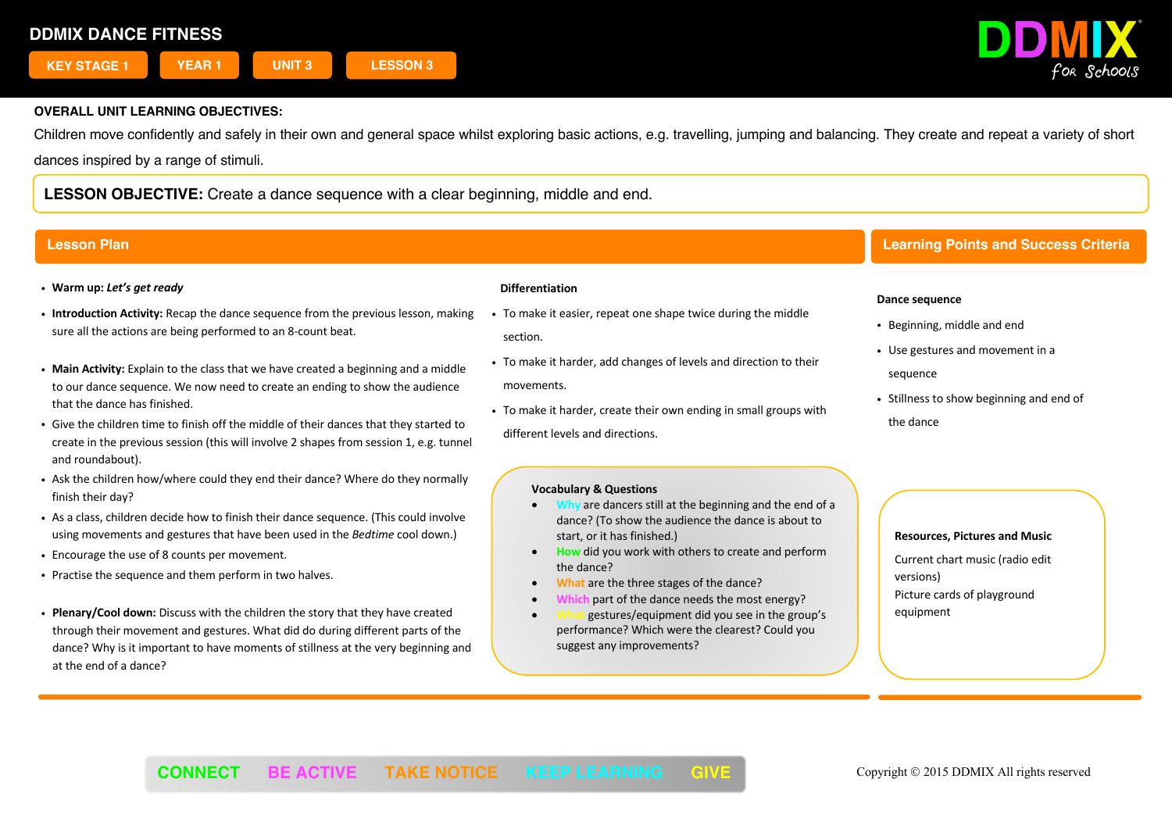

Children move confidently and safely in their own and general space whilst exploring basic actions, e.g. travelling, jumping and balancing. They create and repeat a variety of short dances inspired by a range of stimuli.

**LESSON OBJECTIVE:** Create a dance sequence with a clear beginning, middle and end.

- ! **Warm up:** *Let's get ready*
- ! **Introduction Activity:** Recap the dance sequence from the previous lesson, making sure all the actions are being performed to an 8-count beat.
- ! **Main Activity:** Explain to the class that we have created a beginning and a middle to our dance sequence. We now need to create an ending to show the audience that the dance has finished.
- ! Give the children time to finish off the middle of their dances that they started to create in the previous session (this will involve 2 shapes from session 1, e.g. tunnel and roundabout).
- ! Ask the children how/where could they end their dance? Where do they normally finish their day?
- ! As a class, children decide how to finish their dance sequence. (This could involve using movements and gestures that have been used in the *Bedtime* cool down.)
- Encourage the use of 8 counts per movement.
- . Practise the sequence and them perform in two halves.
- ! **Plenary/Cool down:** Discuss with the children the story that they have created through their movement and gestures. What did do during different parts of the dance? Why is it important to have moments of stillness at the very beginning and at the end of a dance?

### **Differentiation**

- . To make it easier, repeat one shape twice during the middle section.
- ! To make it harder, add changes of levels and direction to their movements.
- ! To make it harder, create their own ending in small groups with different levels and directions.

## **Vocabulary & Questions**

- **Why** are dancers still at the beginning and the end of a dance? (To show the audience the dance is about to start, or it has finished.)
- **How** did you work with others to create and perform the dance?
- **What** are the three stages of the dance?
- **Which** part of the dance needs the most energy?
- **What** gestures/equipment did you see in the group's performance? Which were the clearest? Could you suggest any improvements?

## **Lesson Plan Learning Points and Success Criteria**

### **Dance sequence**

- ! Beginning, middle and end
- ! Use gestures and movement in a sequence
- ! Stillness to show beginning and end of the dance

### **Resources, Pictures and Music**

Current chart music (radio edit versions) Picture cards of playground equipment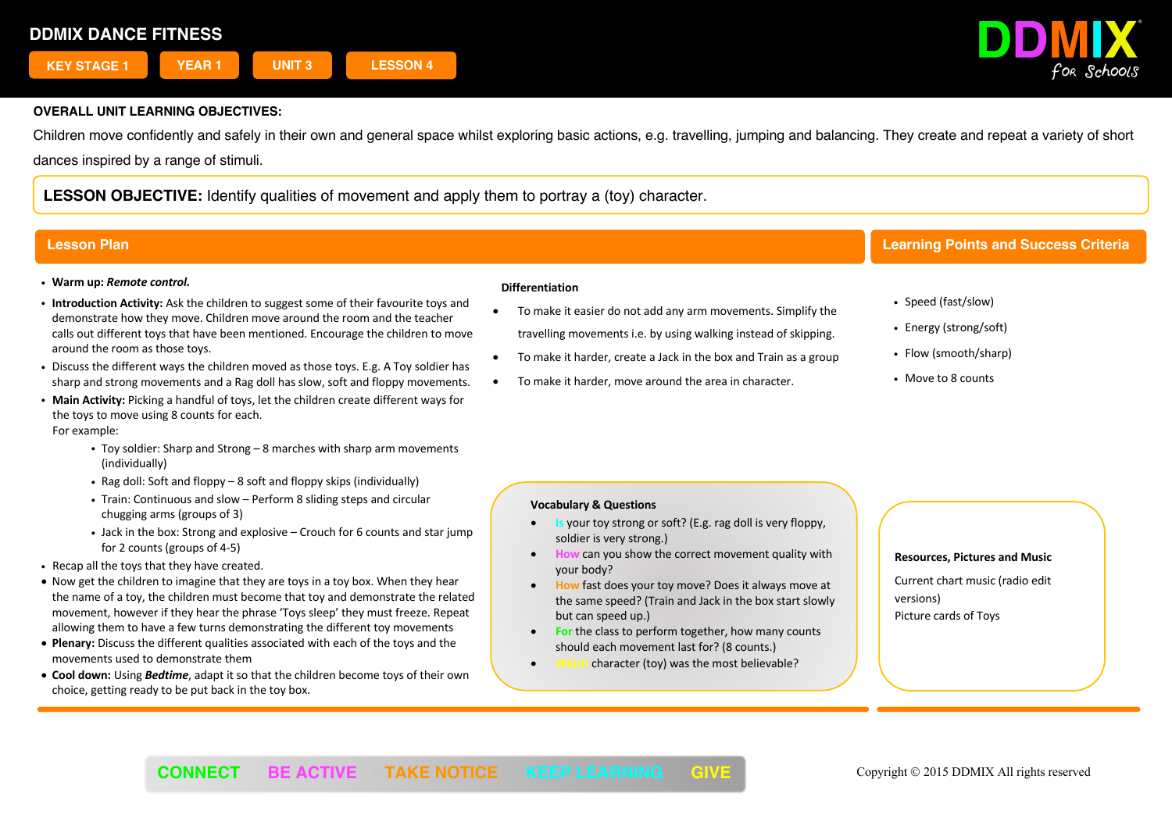

Children move confidently and safely in their own and general space whilst exploring basic actions, e.g. travelling, jumping and balancing. They create and repeat a variety of short dances inspired by a range of stimuli.

**LESSON OBJECTIVE:** Identify qualities of movement and apply them to portray a (toy) character.

## ! **Warm up:** *Remote control.*

- ! **Introduction Activity:** Ask the children to suggest some of their favourite toys and demonstrate how they move. Children move around the room and the teacher calls out different toys that have been mentioned. Encourage the children to move around the room as those toys.
- ! Discuss the different ways the children moved as those toys. E.g. A Toy soldier has sharp and strong movements and a Rag doll has slow, soft and floppy movements.
- ! **Main Activity:** Picking a handful of toys, let the children create different ways for the toys to move using 8 counts for each. For example:
	- Toy soldier: Sharp and Strong 8 marches with sharp arm movements (individually)
	- $\bullet$  Rag doll: Soft and floppy 8 soft and floppy skips (individually)
	- Train: Continuous and slow Perform 8 sliding steps and circular chugging arms (groups of 3)
	- Jack in the box: Strong and explosive Crouch for 6 counts and star jump for 2 counts (groups of 4-5)
- . Recap all the toys that they have created.
- Now get the children to imagine that they are toys in a toy box. When they hear the name of a toy, the children must become that toy and demonstrate the related movement, however if they hear the phrase 'Toys sleep' they must freeze. Repeat allowing them to have a few turns demonstrating the different toy movements
- **Plenary:** Discuss the different qualities associated with each of the toys and the movements used to demonstrate them
- **Cool down:** Using *Bedtime*, adapt it so that the children become toys of their own choice, getting ready to be put back in the toy box.

### **Differentiation**

- To make it easier do not add any arm movements. Simplify the travelling movements i.e. by using walking instead of skipping.
- To make it harder, create a Jack in the box and Train as a group
- To make it harder, move around the area in character.

## **Lesson Plan Learning Points and Success Criteria**

- Speed (fast/slow)
- Energy (strong/soft)
- Flow (smooth/sharp)
- Move to 8 counts

### **Vocabulary & Questions**

- **Is** your toy strong or soft? (E.g. rag doll is very floppy, soldier is very strong.)
- **How** can you show the correct movement quality with your body?
- **How** fast does your toy move? Does it always move at the same speed? (Train and Jack in the box start slowly but can speed up.)
- **For** the class to perform together, how many counts should each movement last for? (8 counts.)
- character (toy) was the most believable?

### **Resources, Pictures and Music**

Current chart music (radio edit versions) Picture cards of Toys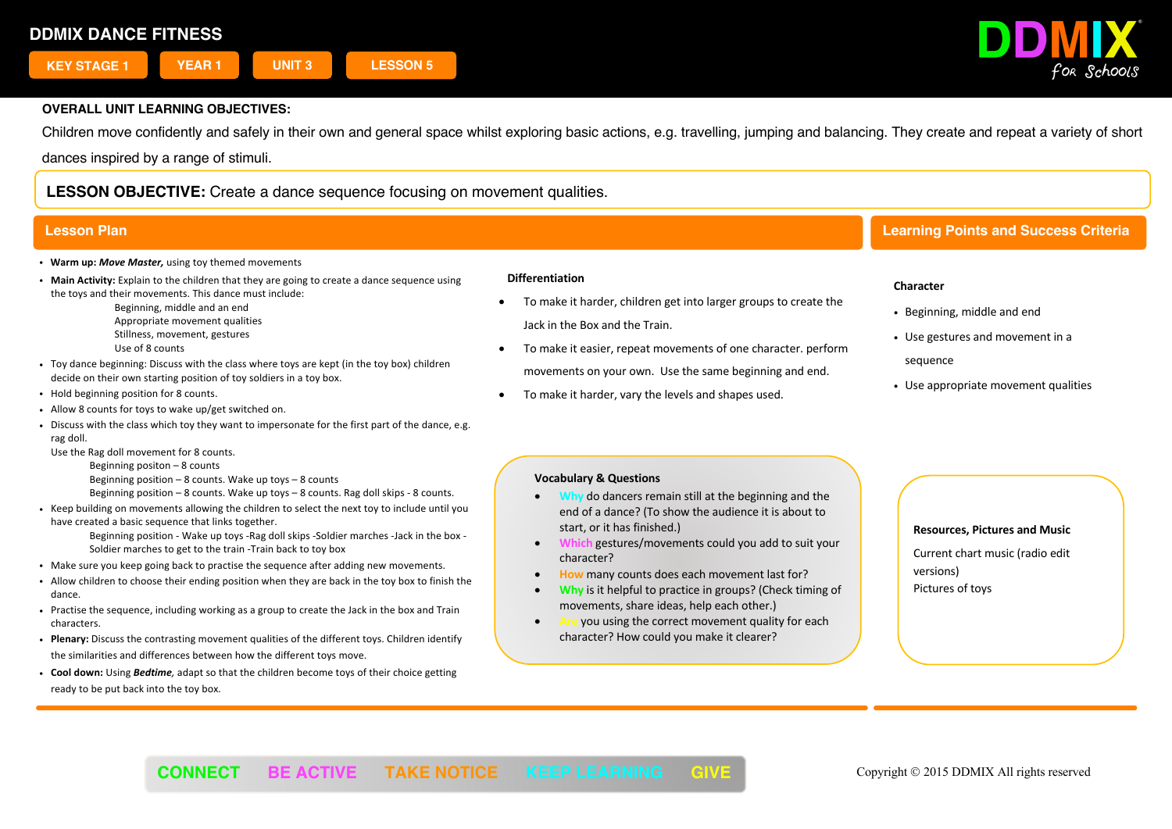

Children move confidently and safely in their own and general space whilst exploring basic actions, e.g. travelling, jumping and balancing. They create and repeat a variety of short dances inspired by a range of stimuli.

**LESSON OBJECTIVE:** Create a dance sequence focusing on movement qualities.

- ! **Warm up:** *Move Master,* using toy themed movements
- ! **Main Activity:** Explain to the children that they are going to create a dance sequence using the toys and their movements. This dance must include:
	- Beginning, middle and an end
	- Appropriate movement qualities
	- Stillness, movement, gestures
	- Use of 8 counts
- ! Toy dance beginning: Discuss with the class where toys are kept (in the toy box) children decide on their own starting position of toy soldiers in a toy box.
- . Hold beginning position for 8 counts.
- . Allow 8 counts for toys to wake up/get switched on.
- . Discuss with the class which toy they want to impersonate for the first part of the dance, e.g. rag doll.
- Use the Rag doll movement for 8 counts.
	- Beginning positon 8 counts
	- Beginning position  $-8$  counts. Wake up toys  $-8$  counts
	- Beginning position 8 counts. Wake up toys 8 counts. Rag doll skips 8 counts.
- . Keep building on movements allowing the children to select the next toy to include until you have created a basic sequence that links together.

Beginning position - Wake up toys -Rag doll skips -Soldier marches -Jack in the box - Soldier marches to get to the train -Train back to toy box

- ! Make sure you keep going back to practise the sequence after adding new movements.
- . Allow children to choose their ending position when they are back in the toy box to finish the dance.
- ! Practise the sequence, including working as a group to create the Jack in the box and Train characters.
- ! **Plenary:** Discuss the contrasting movement qualities of the different toys. Children identify the similarities and differences between how the different toys move.
- ! **Cool down:** Using *Bedtime,* adapt so that the children become toys of their choice getting ready to be put back into the toy box.

### **Differentiation**

- To make it harder, children get into larger groups to create the Jack in the Box and the Train.
- To make it easier, repeat movements of one character. perform movements on your own. Use the same beginning and end.
- To make it harder, vary the levels and shapes used.

# **Lesson Plan Learning Points and Success Criteria**

## **Character**

- ! Beginning, middle and end
- Use gestures and movement in a

sequence

. Use appropriate movement qualities

## **Vocabulary & Questions**

- **Why** do dancers remain still at the beginning and the end of a dance? (To show the audience it is about to start, or it has finished.)
- **Which** gestures/movements could you add to suit your character?
- **How** many counts does each movement last for?
- **Why** is it helpful to practice in groups? (Check timing of movements, share ideas, help each other.)
- **Are** you using the correct movement quality for each character? How could you make it clearer?



**Resources, Pictures and Music**

Pictures of toys